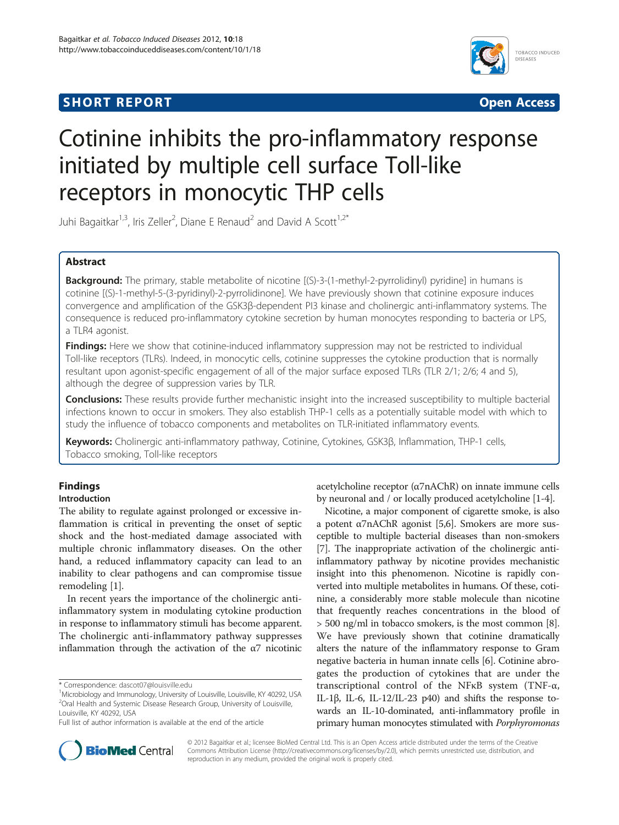# **SHORT REPORT CONTRACT CONTRACT CONTRACT CONTRACT CONTRACT CONTRACT CONTRACT CONTRACT CONTRACT CONTRACT CONTRACT CONTRACT CONTRACT CONTRACT CONTRACT CONTRACT CONTRACT CONTRACT CONTRACT CONTRACT CONTRACT CONTRACT CONTRACT C**



# Cotinine inhibits the pro-inflammatory response initiated by multiple cell surface Toll-like receptors in monocytic THP cells

Juhi Bagaitkar<sup>1,3</sup>, Iris Zeller<sup>2</sup>, Diane E Renaud<sup>2</sup> and David A Scott<sup>1,2\*</sup>

## Abstract

Background: The primary, stable metabolite of nicotine [(S)-3-(1-methyl-2-pyrrolidinyl) pyridine] in humans is cotinine [(S)-1-methyl-5-(3-pyridinyl)-2-pyrrolidinone]. We have previously shown that cotinine exposure induces convergence and amplification of the GSK3β-dependent PI3 kinase and cholinergic anti-inflammatory systems. The consequence is reduced pro-inflammatory cytokine secretion by human monocytes responding to bacteria or LPS, a TLR4 agonist.

**Findings:** Here we show that cotinine-induced inflammatory suppression may not be restricted to individual Toll-like receptors (TLRs). Indeed, in monocytic cells, cotinine suppresses the cytokine production that is normally resultant upon agonist-specific engagement of all of the major surface exposed TLRs (TLR 2/1; 2/6; 4 and 5), although the degree of suppression varies by TLR.

Conclusions: These results provide further mechanistic insight into the increased susceptibility to multiple bacterial infections known to occur in smokers. They also establish THP-1 cells as a potentially suitable model with which to study the influence of tobacco components and metabolites on TLR-initiated inflammatory events.

Keywords: Cholinergic anti-inflammatory pathway, Cotinine, Cytokines, GSK3β, Inflammation, THP-1 cells, Tobacco smoking, Toll-like receptors

# Findings

## Introduction

The ability to regulate against prolonged or excessive inflammation is critical in preventing the onset of septic shock and the host-mediated damage associated with multiple chronic inflammatory diseases. On the other hand, a reduced inflammatory capacity can lead to an inability to clear pathogens and can compromise tissue remodeling [\[1\]](#page-3-0).

In recent years the importance of the cholinergic antiinflammatory system in modulating cytokine production in response to inflammatory stimuli has become apparent. The cholinergic anti-inflammatory pathway suppresses inflammation through the activation of the  $\alpha$ 7 nicotinic

\* Correspondence: [dascot07@louisville.edu](mailto:dascot07@louisville.edu) <sup>1</sup>



Nicotine, a major component of cigarette smoke, is also a potent α7nAChR agonist [\[5,6](#page-3-0)]. Smokers are more susceptible to multiple bacterial diseases than non-smokers [[7\]](#page-3-0). The inappropriate activation of the cholinergic antiinflammatory pathway by nicotine provides mechanistic insight into this phenomenon. Nicotine is rapidly converted into multiple metabolites in humans. Of these, cotinine, a considerably more stable molecule than nicotine that frequently reaches concentrations in the blood of > 500 ng/ml in tobacco smokers, is the most common [[8](#page-3-0)]. We have previously shown that cotinine dramatically alters the nature of the inflammatory response to Gram negative bacteria in human innate cells [\[6\]](#page-3-0). Cotinine abrogates the production of cytokines that are under the transcriptional control of the NFκB system (TNF-α, IL-1β, IL-6, IL-12/IL-23 p40) and shifts the response towards an IL-10-dominated, anti-inflammatory profile in primary human monocytes stimulated with Porphyromonas



© 2012 Bagaitkar et al.; licensee BioMed Central Ltd. This is an Open Access article distributed under the terms of the Creative Commons Attribution License [\(http://creativecommons.org/licenses/by/2.0\)](http://creativecommons.org/licenses/by/2.0), which permits unrestricted use, distribution, and reproduction in any medium, provided the original work is properly cited.

<sup>&</sup>lt;sup>1</sup>Microbiology and Immunology, University of Louisville, Louisville, KY 40292, USA <sup>2</sup>Oral Health and Systemic Disease Research Group, University of Louisville, Louisville, KY 40292, USA

Full list of author information is available at the end of the article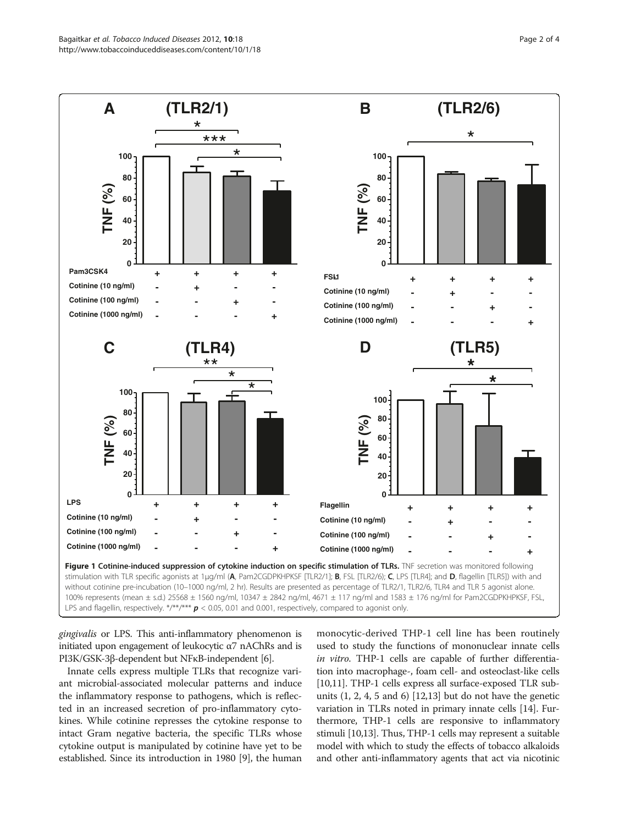<span id="page-1-0"></span>

gingivalis or LPS. This anti-inflammatory phenomenon is initiated upon engagement of leukocytic  $α7$  nAChRs and is PI3K/GSK-3β-dependent but NFκB-independent [\[6\]](#page-3-0).

Innate cells express multiple TLRs that recognize variant microbial-associated molecular patterns and induce the inflammatory response to pathogens, which is reflected in an increased secretion of pro-inflammatory cytokines. While cotinine represses the cytokine response to intact Gram negative bacteria, the specific TLRs whose cytokine output is manipulated by cotinine have yet to be established. Since its introduction in 1980 [\[9](#page-3-0)], the human

monocytic-derived THP-1 cell line has been routinely used to study the functions of mononuclear innate cells in vitro. THP-1 cells are capable of further differentiation into macrophage-, foam cell- and osteoclast-like cells [[10](#page-3-0),[11](#page-3-0)]. THP-1 cells express all surface-exposed TLR subunits  $(1, 2, 4, 5, 4)$  [[12,13](#page-3-0)] but do not have the genetic variation in TLRs noted in primary innate cells [\[14\]](#page-3-0). Furthermore, THP-1 cells are responsive to inflammatory stimuli [[10,13](#page-3-0)]. Thus, THP-1 cells may represent a suitable model with which to study the effects of tobacco alkaloids and other anti-inflammatory agents that act via nicotinic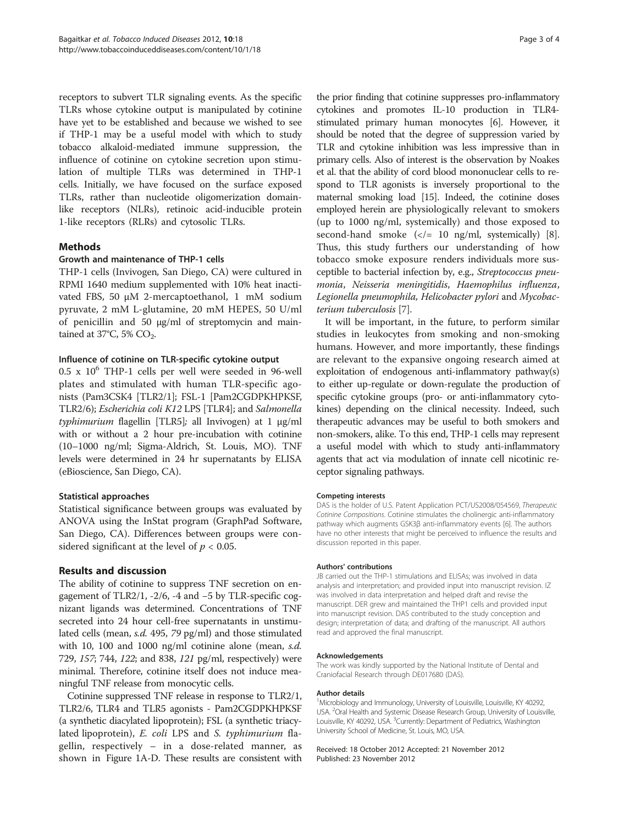receptors to subvert TLR signaling events. As the specific TLRs whose cytokine output is manipulated by cotinine have yet to be established and because we wished to see if THP-1 may be a useful model with which to study tobacco alkaloid-mediated immune suppression, the influence of cotinine on cytokine secretion upon stimulation of multiple TLRs was determined in THP-1 cells. Initially, we have focused on the surface exposed TLRs, rather than nucleotide oligomerization domainlike receptors (NLRs), retinoic acid-inducible protein 1-like receptors (RLRs) and cytosolic TLRs.

## Methods

## Growth and maintenance of THP-1 cells

THP-1 cells (Invivogen, San Diego, CA) were cultured in RPMI 1640 medium supplemented with 10% heat inactivated FBS, 50 μM 2-mercaptoethanol, 1 mM sodium pyruvate, 2 mM L-glutamine, 20 mM HEPES, 50 U/ml of penicillin and 50 μg/ml of streptomycin and maintained at 37°C, 5% CO<sub>2</sub>.

#### Influence of cotinine on TLR-specific cytokine output

 $0.5 \times 10^6$  THP-1 cells per well were seeded in 96-well plates and stimulated with human TLR-specific agonists (Pam3CSK4 [TLR2/1]; FSL-1 [Pam2CGDPKHPKSF, TLR2/6); Escherichia coli K12 LPS [TLR4]; and Salmonella typhimurium flagellin [TLR5]; all Invivogen) at 1 μg/ml with or without a 2 hour pre-incubation with cotinine (10–1000 ng/ml; Sigma-Aldrich, St. Louis, MO). TNF levels were determined in 24 hr supernatants by ELISA (eBioscience, San Diego, CA).

#### Statistical approaches

Statistical significance between groups was evaluated by ANOVA using the InStat program (GraphPad Software, San Diego, CA). Differences between groups were considered significant at the level of  $p < 0.05$ .

#### Results and discussion

The ability of cotinine to suppress TNF secretion on engagement of TLR2/1, -2/6, -4 and −5 by TLR-specific cognizant ligands was determined. Concentrations of TNF secreted into 24 hour cell-free supernatants in unstimulated cells (mean, s.d. 495, 79 pg/ml) and those stimulated with 10, 100 and 1000 ng/ml cotinine alone (mean, *s.d.*) 729, 157; 744, 122; and 838, 121 pg/ml, respectively) were minimal. Therefore, cotinine itself does not induce meaningful TNF release from monocytic cells.

Cotinine suppressed TNF release in response to TLR2/1, TLR2/6, TLR4 and TLR5 agonists - Pam2CGDPKHPKSF (a synthetic diacylated lipoprotein); FSL (a synthetic triacylated lipoprotein), E. coli LPS and S. typhimurium flagellin, respectively – in a dose-related manner, as shown in Figure [1A-](#page-1-0)D. These results are consistent with the prior finding that cotinine suppresses pro-inflammatory cytokines and promotes IL-10 production in TLR4 stimulated primary human monocytes [\[6](#page-3-0)]. However, it should be noted that the degree of suppression varied by TLR and cytokine inhibition was less impressive than in primary cells. Also of interest is the observation by Noakes et al. that the ability of cord blood mononuclear cells to respond to TLR agonists is inversely proportional to the maternal smoking load [\[15\]](#page-3-0). Indeed, the cotinine doses employed herein are physiologically relevant to smokers (up to 1000 ng/ml, systemically) and those exposed to second-hand smoke  $\left\langle \langle = 10 \text{ ng/ml}, \text{ systematically} \rangle \right\rangle$  [[8](#page-3-0)]. Thus, this study furthers our understanding of how tobacco smoke exposure renders individuals more susceptible to bacterial infection by, e.g., Streptococcus pneumonia, Neisseria meningitidis, Haemophilus influenza, Legionella pneumophila, Helicobacter pylori and Mycobacterium tuberculosis [[7](#page-3-0)].

It will be important, in the future, to perform similar studies in leukocytes from smoking and non-smoking humans. However, and more importantly, these findings are relevant to the expansive ongoing research aimed at exploitation of endogenous anti-inflammatory pathway(s) to either up-regulate or down-regulate the production of specific cytokine groups (pro- or anti-inflammatory cytokines) depending on the clinical necessity. Indeed, such therapeutic advances may be useful to both smokers and non-smokers, alike. To this end, THP-1 cells may represent a useful model with which to study anti-inflammatory agents that act via modulation of innate cell nicotinic receptor signaling pathways.

#### Competing interests

DAS is the holder of U.S. Patent Application PCT/US2008/054569, Therapeutic Cotinine Compositions. Cotinine stimulates the cholinergic anti-inflammatory pathway which augments GSK3β anti-inflammatory events [6]. The authors have no other interests that might be perceived to influence the results and discussion reported in this paper.

#### Authors' contributions

JB carried out the THP-1 stimulations and ELISAs; was involved in data analysis and interpretation; and provided input into manuscript revision. IZ was involved in data interpretation and helped draft and revise the manuscript. DER grew and maintained the THP1 cells and provided input into manuscript revision. DAS contributed to the study conception and design; interpretation of data; and drafting of the manuscript. All authors read and approved the final manuscript.

#### Acknowledgements

The work was kindly supported by the National Institute of Dental and Craniofacial Research through DE017680 (DAS).

#### Author details

<sup>1</sup>Microbiology and Immunology, University of Louisville, Louisville, KY 40292 USA. <sup>2</sup>Oral Health and Systemic Disease Research Group, University of Louisville, Louisville, KY 40292, USA. <sup>3</sup>Currently: Department of Pediatrics, Washington University School of Medicine, St. Louis, MO, USA.

#### Received: 18 October 2012 Accepted: 21 November 2012 Published: 23 November 2012